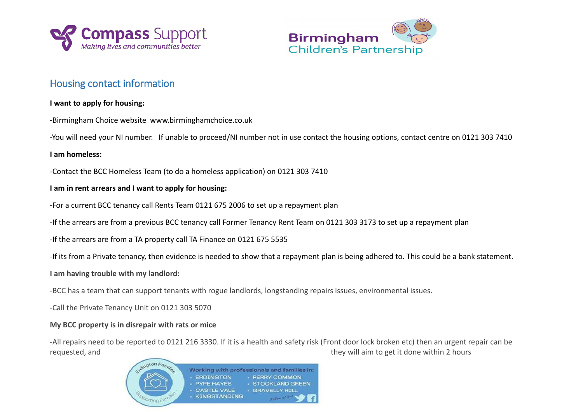



# Housing contact information

## **I want to apply for housing:**

-Birmingham Choice website [www.birminghamchoice.co.uk](http://www.birminghamchoice.co.uk/)

-You will need your NI number. If unable to proceed/NI number not in use contact the housing options, contact centre on 0121 303 7410

## **I am homeless:**

-Contact the BCC Homeless Team (to do a homeless application) on 0121 303 7410

# **I am in rent arrears and I want to apply for housing:**

-For a current BCC tenancy call Rents Team 0121 675 2006 to set up a repayment plan

-If the arrears are from a previous BCC tenancy call Former Tenancy Rent Team on 0121 303 3173 to set up a repayment plan

-If the arrears are from a TA property call TA Finance on 0121 675 5535

-If its from a Private tenancy, then evidence is needed to show that a repayment plan is being adhered to. This could be a bank statement.

#### **I am having trouble with my landlord:**

-BCC has a team that can support tenants with rogue landlords, longstanding repairs issues, environmental issues.

-Call the Private Tenancy Unit on 0121 303 5070

#### **My BCC property is in disrepair with rats or mice**

-All repairs need to be reported to 0121 216 3330. If it is a health and safety risk (Front door lock broken etc) then an urgent repair can be requested, and they will aim to get it done within 2 hours